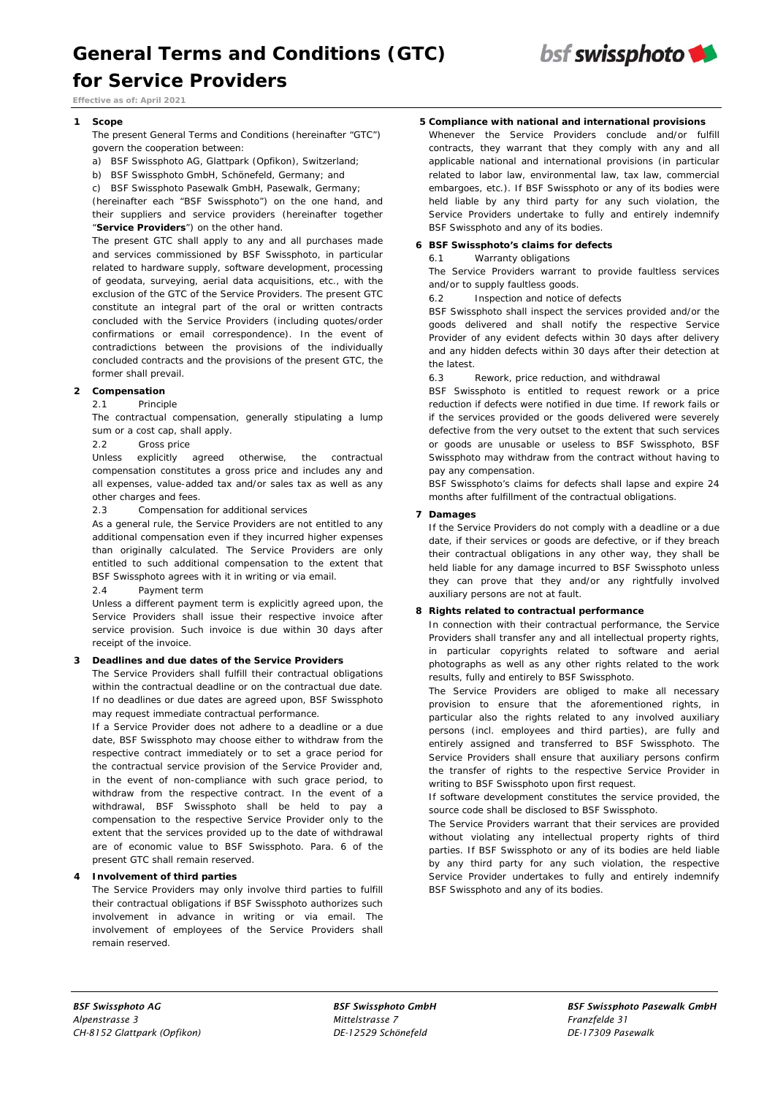

*Effective as of: April 2021* 

### **1 Scope**

 The present General Terms and Conditions (hereinafter "GTC") govern the cooperation between:

- a) BSF Swissphoto AG, Glattpark (Opfikon), Switzerland;
- b) BSF Swissphoto GmbH, Schönefeld, Germany; and

c) BSF Swissphoto Pasewalk GmbH, Pasewalk, Germany;

 (hereinafter each "BSF Swissphoto") on the one hand, and their suppliers and service providers (hereinafter together "**Service Providers**") on the other hand.

 The present GTC shall apply to any and all purchases made and services commissioned by BSF Swissphoto, in particular related to hardware supply, software development, processing of geodata, surveying, aerial data acquisitions, etc., with the exclusion of the GTC of the Service Providers. The present GTC constitute an integral part of the oral or written contracts concluded with the Service Providers (including quotes/order confirmations or email correspondence). In the event of contradictions between the provisions of the individually concluded contracts and the provisions of the present GTC, the former shall prevail.

# **2 Compensation**

## 2.1 Principle

The contractual compensation, generally stipulating a lump sum or a cost cap, shall apply.

#### 2.2 Gross price

Unless explicitly agreed otherwise, the contractual compensation constitutes a gross price and includes any and all expenses, value-added tax and/or sales tax as well as any other charges and fees.

2.3 Compensation for additional services

As a general rule, the Service Providers are not entitled to any additional compensation even if they incurred higher expenses than originally calculated. The Service Providers are only entitled to such additional compensation to the extent that BSF Swissphoto agrees with it in writing or via email.

2.4 Payment term

Unless a different payment term is explicitly agreed upon, the Service Providers shall issue their respective invoice after service provision. Such invoice is due within 30 days after receipt of the invoice.

## **3 Deadlines and due dates of the Service Providers**

 The Service Providers shall fulfill their contractual obligations within the contractual deadline or on the contractual due date. If no deadlines or due dates are agreed upon, BSF Swissphoto may request immediate contractual performance.

 If a Service Provider does not adhere to a deadline or a due date, BSF Swissphoto may choose either to withdraw from the respective contract immediately or to set a grace period for the contractual service provision of the Service Provider and, in the event of non-compliance with such grace period, to withdraw from the respective contract. In the event of a withdrawal, BSF Swissphoto shall be held to pay a compensation to the respective Service Provider only to the extent that the services provided up to the date of withdrawal are of economic value to BSF Swissphoto. Para. 6 of the present GTC shall remain reserved.

## **4 Involvement of third parties**

 The Service Providers may only involve third parties to fulfill their contractual obligations if BSF Swissphoto authorizes such involvement in advance in writing or via email. The involvement of employees of the Service Providers shall remain reserved.

# **5 Compliance with national and international provisions**

Whenever the Service Providers conclude and/or fulfill contracts, they warrant that they comply with any and all applicable national and international provisions (in particular related to labor law, environmental law, tax law, commercial embargoes, etc.). If BSF Swissphoto or any of its bodies were held liable by any third party for any such violation, the Service Providers undertake to fully and entirely indemnify BSF Swissphoto and any of its bodies.

## **6 BSF Swissphoto's claims for defects**

#### 6.1 Warranty obligations

The Service Providers warrant to provide faultless services and/or to supply faultless goods.

6.2 Inspection and notice of defects

BSF Swissphoto shall inspect the services provided and/or the goods delivered and shall notify the respective Service Provider of any evident defects within 30 days after delivery and any hidden defects within 30 days after their detection at the latest.

6.3 Rework, price reduction, and withdrawal

BSF Swissphoto is entitled to request rework or a price reduction if defects were notified in due time. If rework fails or if the services provided or the goods delivered were severely defective from the very outset to the extent that such services or goods are unusable or useless to BSF Swissphoto, BSF Swissphoto may withdraw from the contract without having to pay any compensation.

BSF Swissphoto's claims for defects shall lapse and expire 24 months after fulfillment of the contractual obligations.

#### **7 Damages**

If the Service Providers do not comply with a deadline or a due date, if their services or goods are defective, or if they breach their contractual obligations in any other way, they shall be held liable for any damage incurred to BSF Swissphoto unless they can prove that they and/or any rightfully involved auxiliary persons are not at fault.

## **8 Rights related to contractual performance**

In connection with their contractual performance, the Service Providers shall transfer any and all intellectual property rights, in particular copyrights related to software and aerial photographs as well as any other rights related to the work results, fully and entirely to BSF Swissphoto.

The Service Providers are obliged to make all necessary provision to ensure that the aforementioned rights, in particular also the rights related to any involved auxiliary persons (incl. employees and third parties), are fully and entirely assigned and transferred to BSF Swissphoto. The Service Providers shall ensure that auxiliary persons confirm the transfer of rights to the respective Service Provider in writing to BSF Swissphoto upon first request.

If software development constitutes the service provided, the source code shall be disclosed to BSF Swissphoto.

The Service Providers warrant that their services are provided without violating any intellectual property rights of third parties. If BSF Swissphoto or any of its bodies are held liable by any third party for any such violation, the respective Service Provider undertakes to fully and entirely indemnify BSF Swissphoto and any of its bodies.

*Alpenstrasse 3 Mittelstrasse 7 Franzfelde 31 CH-8152 Glattpark (Opfikon) DE-12529 Schönefeld DE-17309 Pasewalk*